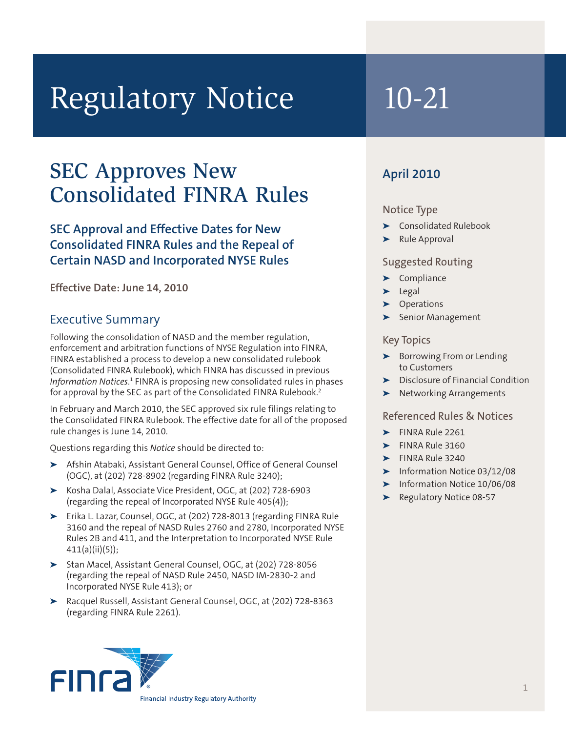# Regulatory Notice 10-21

# SEC Approves New Consolidated FINRA Rules

# **SEC Approval and Effective Dates for New Consolidated FINRA Rules and the Repeal of Certain NASD and Incorporated NYSE Rules**

**Effective Date: June 14, 2010**

# Executive Summary

Following the consolidation of NASD and the member regulation, enforcement and arbitration functions of NYSE Regulation into FINRA, FINRA established a process to develop a new consolidated rulebook (Consolidated FINRA Rulebook), which FINRA has discussed in previous Information Notices.<sup>1</sup> FINRA is proposing new consolidated rules in phases for approval by the SEC as part of the Consolidated FINRA Rulebook.<sup>2</sup>

In February and March 2010, the SEC approved six rule filings relating to the Consolidated FINRA Rulebook. The effective date for all of the proposed rule changes is June 14, 2010.

Questions regarding this *Notice* should be directed to:

- **➤** Afshin Atabaki, Assistant General Counsel, Office of General Counsel (OGC), at (202) 728-8902 (regarding FINRA Rule 3240);
- **➤** Kosha Dalal, Associate Vice President, OGC, at (202) 728-6903 (regarding the repeal of Incorporated NYSE Rule 405(4));
- **➤** Erika L. Lazar, Counsel, OGC, at (202) 728-8013 (regarding FINRA Rule 3160 and the repeal of NASD Rules 2760 and 2780, Incorporated NYSE Rules 2B and 411, and the Interpretation to Incorporated NYSE Rule 411(a)(ii)(5));
- **➤** Stan Macel, Assistant General Counsel, OGC, at (202) 728-8056 (regarding the repeal of NASD Rule 2450, NASD IM-2830-2 and Incorporated NYSE Rule 413); or
- **➤** Racquel Russell, Assistant General Counsel, OGC, at (202) 728-8363 (regarding FINRA Rule 2261).

# **April 2010**

# Notice Type

- **➤** Consolidated Rulebook
- **➤** Rule Approval

# Suggested Routing

- **➤** Compliance
- **➤** Legal
- **➤** Operations
- **➤** Senior Management

## Key Topics

- **➤** Borrowing From or Lending to Customers
- **➤** Disclosure of Financial Condition
- **➤** Networking Arrangements

# Referenced Rules & Notices

- **➤** FINRA Rule 2261
- **➤** FINRA Rule 3160
- **➤** FINRA Rule 3240
- **➤** Information Notice 03/12/08
- **➤** Information Notice 10/06/08
- **➤** Regulatory Notice 08-57

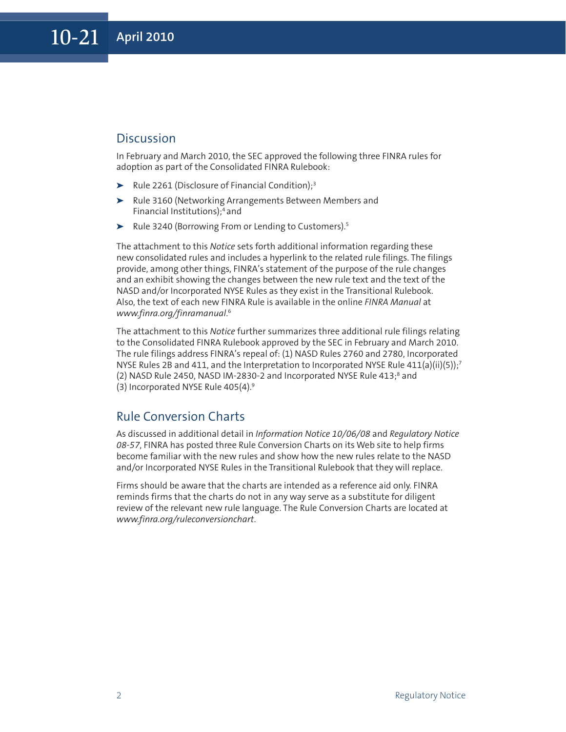# **Discussion**

In February and March 2010, the SEC approved the following three FINRA rules for adoption as part of the Consolidated FINRA Rulebook:

- ▶ Rule 2261 (Disclosure of Financial Condition);<sup>3</sup>
- **➤** Rule 3160 (Networking Arrangements Between Members and Financial Institutions); <sup>4</sup> and
- **➤** Rule 3240 (Borrowing From or Lending to Customers). 5

The attachment to this *Notice* sets forth additional information regarding these new consolidated rules and includes a hyperlink to the related rule filings. The filings provide, among other things, FINRA's statement of the purpose of the rule changes and an exhibit showing the changes between the new rule text and the text of the NASD and/or Incorporated NYSE Rules as they exist in the Transitional Rulebook. Also, the text of each new FINRA Rule is available in the online *FINRA Manual* at *www.finra.org/finramanual*. 6

The attachment to this *Notice* further summarizes three additional rule filings relating to the Consolidated FINRA Rulebook approved by the SEC in February and March 2010. The rule filings address FINRA's repeal of: (1) NASD Rules 2760 and 2780, Incorporated NYSE Rules 2B and 411, and the Interpretation to Incorporated NYSE Rule 411(a)(ii)(5));<sup>7</sup> (2) NASD Rule 2450, NASD IM-2830-2 and Incorporated NYSE Rule 413; <sup>8</sup> and (3) Incorporated NYSE Rule 405(4). 9

# Rule Conversion Charts

As discussed in additional detail in *Information Notice 10/06/08* and *Regulatory Notice 08-57*, FINRA has posted three Rule Conversion Charts on its Web site to help firms become familiar with the new rules and show how the new rules relate to the NASD and/or Incorporated NYSE Rules in the Transitional Rulebook that they will replace.

Firms should be aware that the charts are intended as a reference aid only. FINRA reminds firms that the charts do not in any way serve as a substitute for diligent review of the relevant new rule language. The Rule Conversion Charts are located at *www.finra.org/ruleconversionchart*.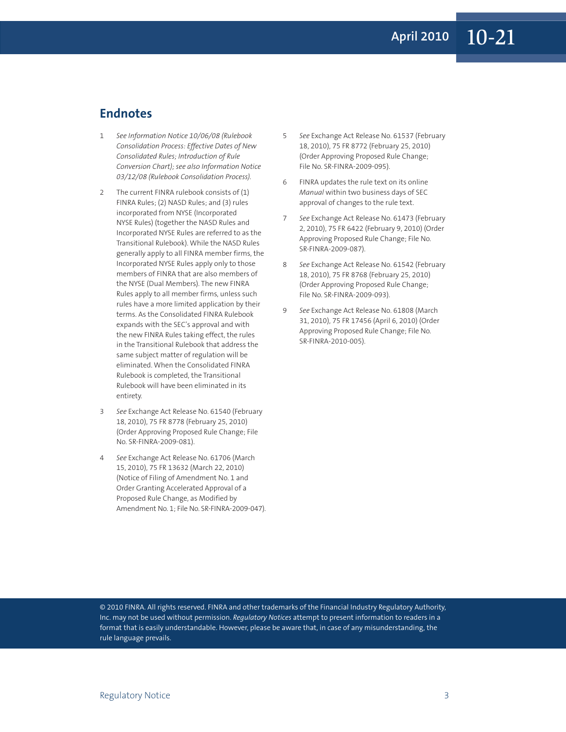# **Endnotes**

- 1 *See Information Notice 10/06/08 (Rulebook Consolidation Process: Effective Dates of New Consolidated Rules; Introduction of Rule Conversion Chart); see also Information Notice 03/12/08 (Rulebook Consolidation Process).*
- 2 The current FINRA rulebook consists of (1) FINRA Rules; (2) NASD Rules; and (3) rules incorporated from NYSE (Incorporated NYSE Rules) (together the NASD Rules and Incorporated NYSE Rules are referred to as the Transitional Rulebook). While the NASD Rules generally apply to all FINRA member firms, the Incorporated NYSE Rules apply only to those members of FINRA that are also members of the NYSE (Dual Members). The new FINRA Rules apply to all member firms, unless such rules have a more limited application by their terms. As the Consolidated FINRA Rulebook expands with the SEC's approval and with the new FINRA Rules taking effect, the rules in the Transitional Rulebook that address the same subject matter of regulation will be eliminated. When the Consolidated FINRA Rulebook is completed, the Transitional Rulebook will have been eliminated in its entirety.
- 3 *See* Exchange Act Release No. 61540 (February 18, 2010), 75 FR 8778 (February 25, 2010) (Order Approving Proposed Rule Change; File No. SR-FINRA-2009-081).
- 4 *See* Exchange Act Release No. 61706 (March 15, 2010), 75 FR 13632 (March 22, 2010) (Notice of Filing of Amendment No. 1 and Order Granting Accelerated Approval of a Proposed Rule Change, as Modified by Amendment No. 1; File No. SR-FINRA-2009-047).
- 5 *See* Exchange Act Release No. 61537 (February 18, 2010), 75 FR 8772 (February 25, 2010) (Order Approving Proposed Rule Change; File No. SR-FINRA-2009-095).
- 6 FINRA updates the rule text on its online *Manual* within two business days of SEC approval of changes to the rule text.
- 7 *See* Exchange Act Release No. 61473 (February 2, 2010), 75 FR 6422 (February 9, 2010) (Order Approving Proposed Rule Change; File No. SR-FINRA-2009-087).
- 8 *See* Exchange Act Release No. 61542 (February 18, 2010), 75 FR 8768 (February 25, 2010) (Order Approving Proposed Rule Change; File No. SR-FINRA-2009-093).
- 9 *See* Exchange Act Release No. 61808 (March 31, 2010), 75 FR 17456 (April 6, 2010) (Order Approving Proposed Rule Change; File No. SR-FINRA-2010-005).

© 2010 FINRA. All rights reserved. FINRA and other trademarks of the Financial Industry Regulatory Authority, Inc. may not be used without permission. *Regulatory Notices* attempt to present information to readers in a format that is easily understandable. However, please be aware that, in case of any misunderstanding, the rule language prevails.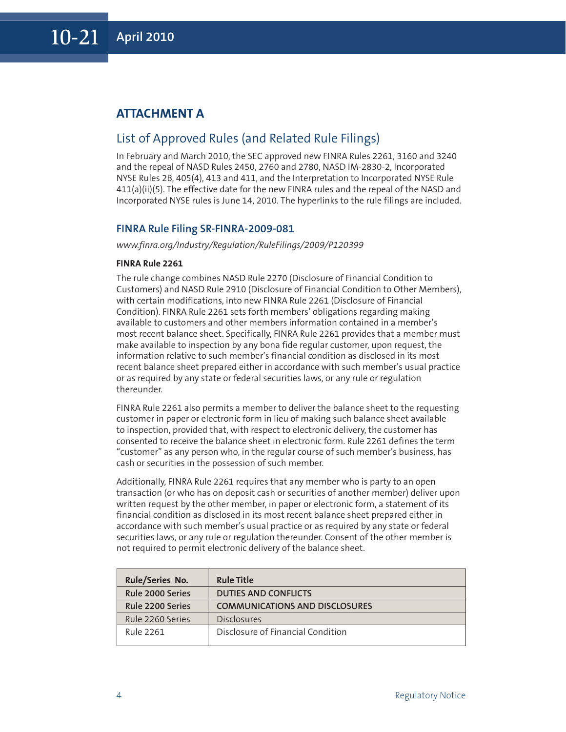# **ATTACHMENT A**

# List of Approved Rules (and Related Rule Filings)

In February and March 2010, the SEC approved new FINRA Rules 2261, 3160 and 3240 and the repeal of NASD Rules 2450, 2760 and 2780, NASD IM-2830-2, Incorporated NYSE Rules 2B, 405(4), 413 and 411, and the Interpretation to Incorporated NYSE Rule 411(a)(ii)(5). The effective date for the new FINRA rules and the repeal of the NASD and Incorporated NYSE rules is June 14, 2010. The hyperlinks to the rule filings are included.

### **FINRA Rule Filing SR-FINRA-2009-081**

*www.finra.org/Industry/Regulation/RuleFilings/2009/P120399*

#### **FINRA Rule 2261**

The rule change combines NASD Rule 2270 (Disclosure of Financial Condition to Customers) and NASD Rule 2910 (Disclosure of Financial Condition to Other Members), with certain modifications, into new FINRA Rule 2261 (Disclosure of Financial Condition). FINRA Rule 2261 sets forth members' obligations regarding making available to customers and other members information contained in a member's most recent balance sheet. Specifically, FINRA Rule 2261 provides that a member must make available to inspection by any bona fide regular customer, upon request, the information relative to such member's financial condition as disclosed in its most recent balance sheet prepared either in accordance with such member's usual practice or as required by any state or federal securities laws, or any rule or regulation thereunder.

FINRA Rule 2261 also permits a member to deliver the balance sheet to the requesting customer in paper or electronic form in lieu of making such balance sheet available to inspection, provided that, with respect to electronic delivery, the customer has consented to receive the balance sheet in electronic form. Rule 2261 defines the term "customer" as any person who, in the regular course of such member's business, has cash or securities in the possession of such member.

Additionally, FINRA Rule 2261 requires that any member who is party to an open transaction (or who has on deposit cash or securities of another member) deliver upon written request by the other member, in paper or electronic form, a statement of its financial condition as disclosed in its most recent balance sheet prepared either in accordance with such member's usual practice or as required by any state or federal securities laws, or any rule or regulation thereunder. Consent of the other member is not required to permit electronic delivery of the balance sheet.

| <b>Rule/Series No.</b>  | <b>Rule Title</b>                     |
|-------------------------|---------------------------------------|
| <b>Rule 2000 Series</b> | <b>DUTIES AND CONFLICTS</b>           |
| <b>Rule 2200 Series</b> | <b>COMMUNICATIONS AND DISCLOSURES</b> |
| Rule 2260 Series        | <b>Disclosures</b>                    |
| Rule 2261               | Disclosure of Financial Condition     |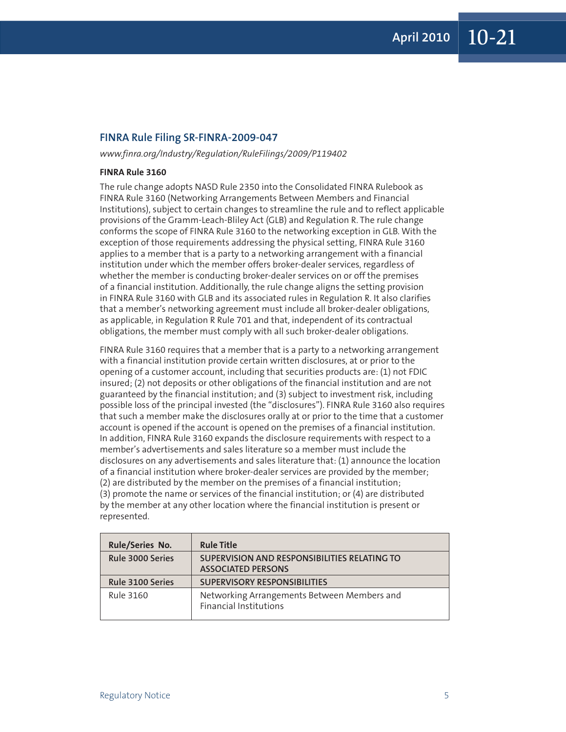#### **FINRA Rule Filing SR-FINRA-2009-047**

*www.finra.org/Industry/Regulation/RuleFilings/2009/P119402*

#### **FINRA Rule 3160**

The rule change adopts NASD Rule 2350 into the Consolidated FINRA Rulebook as FINRA Rule 3160 (Networking Arrangements Between Members and Financial Institutions), subject to certain changes to streamline the rule and to reflect applicable provisions of the Gramm-Leach-Bliley Act (GLB) and Regulation R. The rule change conforms the scope of FINRA Rule 3160 to the networking exception in GLB. With the exception of those requirements addressing the physical setting, FINRA Rule 3160 applies to a member that is a party to a networking arrangement with a financial institution under which the member offers broker-dealer services, regardless of whether the member is conducting broker-dealer services on or off the premises of a financial institution. Additionally, the rule change aligns the setting provision in FINRA Rule 3160 with GLB and its associated rules in Regulation R. It also clarifies that a member's networking agreement must include all broker-dealer obligations, as applicable, in Regulation R Rule 701 and that, independent of its contractual obligations, the member must comply with all such broker-dealer obligations.

FINRA Rule 3160 requires that a member that is a party to a networking arrangement with a financial institution provide certain written disclosures, at or prior to the opening of a customer account, including that securities products are: (1) not FDIC insured; (2) not deposits or other obligations of the financial institution and are not guaranteed by the financial institution; and (3) subject to investment risk, including possible loss of the principal invested (the "disclosures"). FINRA Rule 3160 also requires that such a member make the disclosures orally at or prior to the time that a customer account is opened if the account is opened on the premises of a financial institution. In addition, FINRA Rule 3160 expands the disclosure requirements with respect to a member's advertisements and sales literature so a member must include the disclosures on any advertisements and sales literature that: (1) announce the location of a financial institution where broker-dealer services are provided by the member; (2) are distributed by the member on the premises of a financial institution; (3) promote the name or services of the financial institution; or (4) are distributed by the member at any other location where the financial institution is present or represented.

| <b>Rule/Series No.</b>  | <b>Rule Title</b>                                                            |
|-------------------------|------------------------------------------------------------------------------|
| Rule 3000 Series        | SUPERVISION AND RESPONSIBILITIES RELATING TO<br><b>ASSOCIATED PERSONS</b>    |
| <b>Rule 3100 Series</b> | <b>SUPERVISORY RESPONSIBILITIES</b>                                          |
| Rule 3160               | Networking Arrangements Between Members and<br><b>Financial Institutions</b> |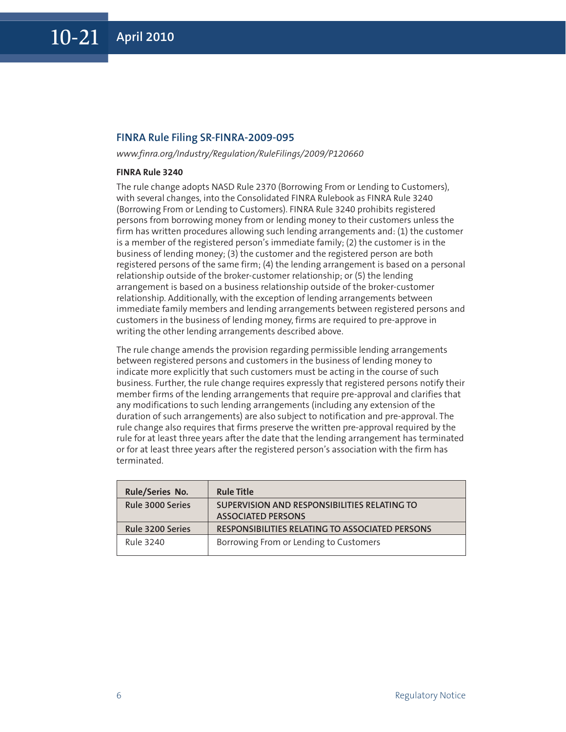#### **FINRA Rule Filing SR-FINRA-2009-095**

*www.finra.org/Industry/Regulation/RuleFilings/2009/P120660*

#### **FINRA Rule 3240**

The rule change adopts NASD Rule 2370 (Borrowing From or Lending to Customers), with several changes, into the Consolidated FINRA Rulebook as FINRA Rule 3240 (Borrowing From or Lending to Customers). FINRA Rule 3240 prohibits registered persons from borrowing money from or lending money to their customers unless the firm has written procedures allowing such lending arrangements and: (1) the customer is a member of the registered person's immediate family; (2) the customer is in the business of lending money; (3) the customer and the registered person are both registered persons of the same firm; (4) the lending arrangement is based on a personal relationship outside of the broker-customer relationship; or (5) the lending arrangement is based on a business relationship outside of the broker-customer relationship. Additionally, with the exception of lending arrangements between immediate family members and lending arrangements between registered persons and customers in the business of lending money, firms are required to pre-approve in writing the other lending arrangements described above.

The rule change amends the provision regarding permissible lending arrangements between registered persons and customers in the business of lending money to indicate more explicitly that such customers must be acting in the course of such business. Further, the rule change requires expressly that registered persons notify their member firms of the lending arrangements that require pre-approval and clarifies that any modifications to such lending arrangements (including any extension of the duration of such arrangements) are also subject to notification and pre-approval. The rule change also requires that firms preserve the written pre-approval required by the rule for at least three years after the date that the lending arrangement has terminated or for at least three years after the registered person's association with the firm has terminated.

| <b>Rule/Series No.</b>  | <b>Rule Title</b>                                      |
|-------------------------|--------------------------------------------------------|
| <b>Rule 3000 Series</b> | SUPERVISION AND RESPONSIBILITIES RELATING TO           |
|                         | <b>ASSOCIATED PERSONS</b>                              |
| Rule 3200 Series        | <b>RESPONSIBILITIES RELATING TO ASSOCIATED PERSONS</b> |
| Rule 3240               | Borrowing From or Lending to Customers                 |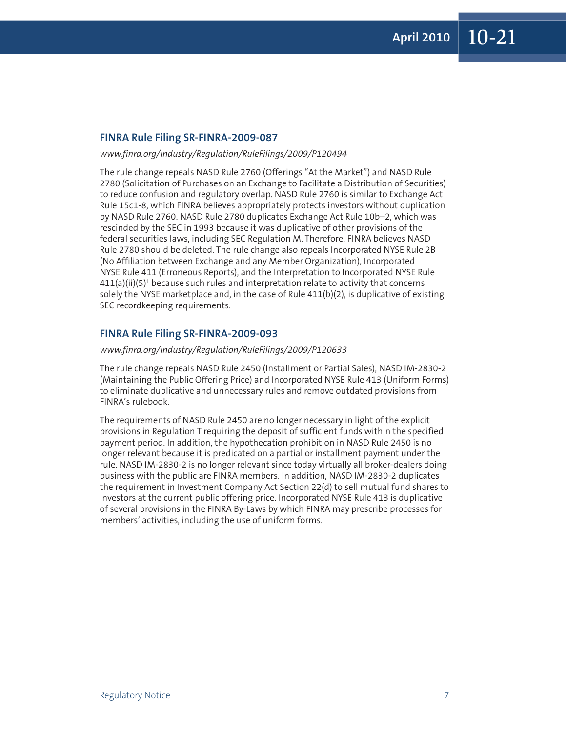### **FINRA Rule Filing SR-FINRA-2009-087**

#### *www.finra.org/Industry/Regulation/RuleFilings/2009/P120494*

The rule change repeals NASD Rule 2760 (Offerings "At the Market") and NASD Rule 2780 (Solicitation of Purchases on an Exchange to Facilitate a Distribution of Securities) to reduce confusion and regulatory overlap. NASD Rule 2760 is similar to Exchange Act Rule 15c1-8, which FINRA believes appropriately protects investors without duplication by NASD Rule 2760. NASD Rule 2780 duplicates Exchange Act Rule 10b–2, which was rescinded by the SEC in 1993 because it was duplicative of other provisions of the federal securities laws, including SEC Regulation M. Therefore, FINRA believes NASD Rule 2780 should be deleted. The rule change also repeals Incorporated NYSE Rule 2B (No Affiliation between Exchange and any Member Organization), Incorporated NYSE Rule 411 (Erroneous Reports), and the Interpretation to Incorporated NYSE Rule  $411(a)(ii)(5)^1$  because such rules and interpretation relate to activity that concerns solely the NYSE marketplace and, in the case of Rule 411(b)(2), is duplicative of existing SEC recordkeeping requirements.

#### **FINRA Rule Filing SR-FINRA-2009-093**

#### *www.finra.org/Industry/Regulation/RuleFilings/2009/P120633*

The rule change repeals NASD Rule 2450 (Installment or Partial Sales), NASD IM-2830-2 (Maintaining the Public Offering Price) and Incorporated NYSE Rule 413 (Uniform Forms) to eliminate duplicative and unnecessary rules and remove outdated provisions from FINRA's rulebook.

The requirements of NASD Rule 2450 are no longer necessary in light of the explicit provisions in Regulation T requiring the deposit of sufficient funds within the specified payment period. In addition, the hypothecation prohibition in NASD Rule 2450 is no longer relevant because it is predicated on a partial or installment payment under the rule. NASD IM-2830-2 is no longer relevant since today virtually all broker-dealers doing business with the public are FINRA members. In addition, NASD IM-2830-2 duplicates the requirement in Investment Company Act Section 22(d) to sell mutual fund shares to investors at the current public offering price. Incorporated NYSE Rule 413 is duplicative of several provisions in the FINRA By-Laws by which FINRA may prescribe processes for members' activities, including the use of uniform forms.